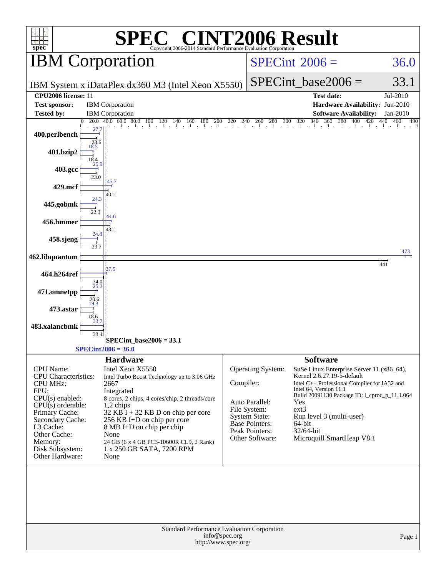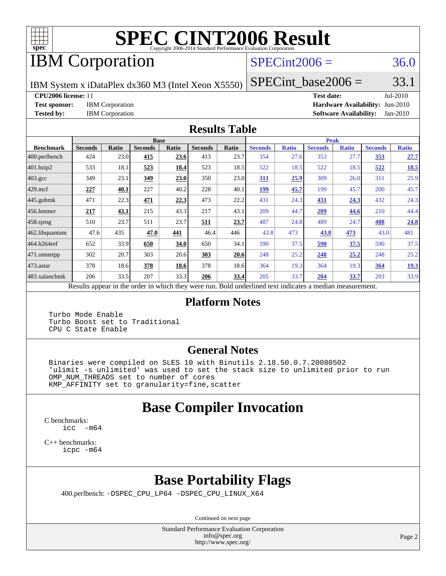

# **[SPEC CINT2006 Result](http://www.spec.org/auto/cpu2006/Docs/result-fields.html#SPECCINT2006Result)**

## IBM Corporation

#### $SPECint2006 = 36.0$  $SPECint2006 = 36.0$

IBM System x iDataPlex dx360 M3 (Intel Xeon X5550)

**[CPU2006 license:](http://www.spec.org/auto/cpu2006/Docs/result-fields.html#CPU2006license)** 11 **[Test date:](http://www.spec.org/auto/cpu2006/Docs/result-fields.html#Testdate)** Jul-2010

 $SPECTnt\_base2006 = 33.1$ 

**[Test sponsor:](http://www.spec.org/auto/cpu2006/Docs/result-fields.html#Testsponsor)** IBM Corporation **[Hardware Availability:](http://www.spec.org/auto/cpu2006/Docs/result-fields.html#HardwareAvailability)** Jun-2010 **[Tested by:](http://www.spec.org/auto/cpu2006/Docs/result-fields.html#Testedby)** IBM Corporation **[Software Availability:](http://www.spec.org/auto/cpu2006/Docs/result-fields.html#SoftwareAvailability)** Jan-2010

#### **[Results Table](http://www.spec.org/auto/cpu2006/Docs/result-fields.html#ResultsTable)**

|                    |                           | <b>Base</b>  |                |       |                |       | <b>Peak</b>                                                                                                   |              |                |              |                |              |
|--------------------|---------------------------|--------------|----------------|-------|----------------|-------|---------------------------------------------------------------------------------------------------------------|--------------|----------------|--------------|----------------|--------------|
| <b>Benchmark</b>   | <b>Seconds</b>            | <b>Ratio</b> | <b>Seconds</b> | Ratio | <b>Seconds</b> | Ratio | <b>Seconds</b>                                                                                                | <b>Ratio</b> | <b>Seconds</b> | <b>Ratio</b> | <b>Seconds</b> | <b>Ratio</b> |
| 400.perlbench      | 424                       | 23.0         | 415            | 23.6  | 413            | 23.7  | 354                                                                                                           | 27.6         | 353            | 27.7         | <u>353</u>     | 27.7         |
| 401.bzip2          | 533                       | 18.1         | 523            | 18.4  | 523            | 18.5  | 522                                                                                                           | 18.5         | 522            | 18.5         | 522            | 18.5         |
| $403.\mathrm{gcc}$ | 349                       | 23.1         | 349            | 23.0  | 350            | 23.0  | 311                                                                                                           | 25.9         | 309            | 26.0         | 311            | 25.9         |
| $429$ .mcf         | 227                       | 40.1         | 227            | 40.2  | 228            | 40.1  | 199                                                                                                           | 45.7         | 199            | 45.7         | 200            | 45.7         |
| $445$ .gobmk       | 471                       | 22.3         | 471            | 22.3  | 473            | 22.2  | 431                                                                                                           | 24.3         | 431            | 24.3         | 432            | 24.3         |
| $ 456$ .hmmer      | 217                       | 43.1         | 215            | 43.3  | 217            | 43.1  | 209                                                                                                           | 44.7         | 209            | 44.6         | 210            | 44.4         |
| $458$ .sjeng       | 510                       | 23.7         | 511            | 23.7  | <u>511</u>     | 23.7  | 487                                                                                                           | 24.8         | 489            | 24.7         | 488            | 24.8         |
| 462.libquantum     | 47.6                      | 435          | 47.0           | 441   | 46.4           | 446   | 43.8                                                                                                          | 473          | 43.8           | 473          | 43.0           | 481          |
| 464.h264ref        | 652                       | 33.9         | 650            | 34.0  | 650            | 34.1  | 590                                                                                                           | 37.5         | <u>590</u>     | 37.5         | 590            | 37.5         |
| 471.omnetpp        | 302                       | 20.7         | 303            | 20.6  | 303            | 20.6  | 248                                                                                                           | 25.2         | 248            | 25.2         | 248            | 25.2         |
| $473$ . astar      | 378                       | 18.6         | 378            | 18.6  | 378            | 18.6  | 364                                                                                                           | 19.3         | 364            | 19.3         | 364            | 19.3         |
| 483.xalancbmk      | 206                       | 33.5         | 207            | 33.3  | 206            | 33.4  | 205                                                                                                           | 33.7         | 204            | <u>33.7</u>  | 203            | 33.9         |
|                    | $\mathbf{D}$ $\mathbf{L}$ | 2.11         |                |       |                | D.11  | and a final formation of the fit and a state of the state of the state of the state of the state of the state |              |                |              |                |              |

Results appear in the [order in which they were run.](http://www.spec.org/auto/cpu2006/Docs/result-fields.html#RunOrder) Bold underlined text [indicates a median measurement.](http://www.spec.org/auto/cpu2006/Docs/result-fields.html#Median)

#### **[Platform Notes](http://www.spec.org/auto/cpu2006/Docs/result-fields.html#PlatformNotes)**

 Turbo Mode Enable Turbo Boost set to Traditional CPU C State Enable

#### **[General Notes](http://www.spec.org/auto/cpu2006/Docs/result-fields.html#GeneralNotes)**

 Binaries were compiled on SLES 10 with Binutils 2.18.50.0.7.20080502 'ulimit -s unlimited' was used to set the stack size to unlimited prior to run OMP\_NUM\_THREADS set to number of cores KMP\_AFFINITY set to granularity=fine,scatter

## **[Base Compiler Invocation](http://www.spec.org/auto/cpu2006/Docs/result-fields.html#BaseCompilerInvocation)**

[C benchmarks](http://www.spec.org/auto/cpu2006/Docs/result-fields.html#Cbenchmarks): [icc -m64](http://www.spec.org/cpu2006/results/res2010q3/cpu2006-20100719-12493.flags.html#user_CCbase_intel_icc_64bit_f346026e86af2a669e726fe758c88044)

[C++ benchmarks:](http://www.spec.org/auto/cpu2006/Docs/result-fields.html#CXXbenchmarks) [icpc -m64](http://www.spec.org/cpu2006/results/res2010q3/cpu2006-20100719-12493.flags.html#user_CXXbase_intel_icpc_64bit_fc66a5337ce925472a5c54ad6a0de310)

## **[Base Portability Flags](http://www.spec.org/auto/cpu2006/Docs/result-fields.html#BasePortabilityFlags)**

400.perlbench: [-DSPEC\\_CPU\\_LP64](http://www.spec.org/cpu2006/results/res2010q3/cpu2006-20100719-12493.flags.html#b400.perlbench_basePORTABILITY_DSPEC_CPU_LP64) [-DSPEC\\_CPU\\_LINUX\\_X64](http://www.spec.org/cpu2006/results/res2010q3/cpu2006-20100719-12493.flags.html#b400.perlbench_baseCPORTABILITY_DSPEC_CPU_LINUX_X64)

Continued on next page

Standard Performance Evaluation Corporation [info@spec.org](mailto:info@spec.org) <http://www.spec.org/>

Page 2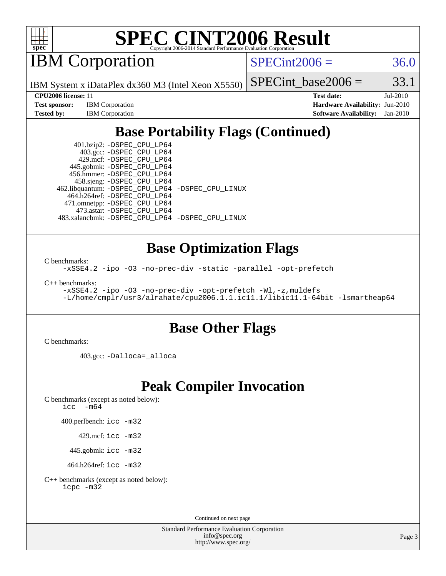

# **[SPEC CINT2006 Result](http://www.spec.org/auto/cpu2006/Docs/result-fields.html#SPECCINT2006Result)**

IBM Corporation

 $SPECint2006 = 36.0$  $SPECint2006 = 36.0$ 

IBM System x iDataPlex dx360 M3 (Intel Xeon X5550)

| <b>Test sponsor:</b> | <b>IBM</b> Corporation |
|----------------------|------------------------|
| <b>Tested by:</b>    | <b>IBM</b> Corporation |

SPECint base2006 =  $33.1$ **[CPU2006 license:](http://www.spec.org/auto/cpu2006/Docs/result-fields.html#CPU2006license)** 11 **[Test date:](http://www.spec.org/auto/cpu2006/Docs/result-fields.html#Testdate)** Jul-2010 **[Hardware Availability:](http://www.spec.org/auto/cpu2006/Docs/result-fields.html#HardwareAvailability)** Jun-2010

**[Software Availability:](http://www.spec.org/auto/cpu2006/Docs/result-fields.html#SoftwareAvailability)** Jan-2010

## **[Base Portability Flags \(Continued\)](http://www.spec.org/auto/cpu2006/Docs/result-fields.html#BasePortabilityFlags)**

 401.bzip2: [-DSPEC\\_CPU\\_LP64](http://www.spec.org/cpu2006/results/res2010q3/cpu2006-20100719-12493.flags.html#suite_basePORTABILITY401_bzip2_DSPEC_CPU_LP64) 403.gcc: [-DSPEC\\_CPU\\_LP64](http://www.spec.org/cpu2006/results/res2010q3/cpu2006-20100719-12493.flags.html#suite_basePORTABILITY403_gcc_DSPEC_CPU_LP64) 429.mcf: [-DSPEC\\_CPU\\_LP64](http://www.spec.org/cpu2006/results/res2010q3/cpu2006-20100719-12493.flags.html#suite_basePORTABILITY429_mcf_DSPEC_CPU_LP64) 445.gobmk: [-DSPEC\\_CPU\\_LP64](http://www.spec.org/cpu2006/results/res2010q3/cpu2006-20100719-12493.flags.html#suite_basePORTABILITY445_gobmk_DSPEC_CPU_LP64) 456.hmmer: [-DSPEC\\_CPU\\_LP64](http://www.spec.org/cpu2006/results/res2010q3/cpu2006-20100719-12493.flags.html#suite_basePORTABILITY456_hmmer_DSPEC_CPU_LP64) 458.sjeng: [-DSPEC\\_CPU\\_LP64](http://www.spec.org/cpu2006/results/res2010q3/cpu2006-20100719-12493.flags.html#suite_basePORTABILITY458_sjeng_DSPEC_CPU_LP64) 462.libquantum: [-DSPEC\\_CPU\\_LP64](http://www.spec.org/cpu2006/results/res2010q3/cpu2006-20100719-12493.flags.html#suite_basePORTABILITY462_libquantum_DSPEC_CPU_LP64) [-DSPEC\\_CPU\\_LINUX](http://www.spec.org/cpu2006/results/res2010q3/cpu2006-20100719-12493.flags.html#b462.libquantum_baseCPORTABILITY_DSPEC_CPU_LINUX) 464.h264ref: [-DSPEC\\_CPU\\_LP64](http://www.spec.org/cpu2006/results/res2010q3/cpu2006-20100719-12493.flags.html#suite_basePORTABILITY464_h264ref_DSPEC_CPU_LP64) 471.omnetpp: [-DSPEC\\_CPU\\_LP64](http://www.spec.org/cpu2006/results/res2010q3/cpu2006-20100719-12493.flags.html#suite_basePORTABILITY471_omnetpp_DSPEC_CPU_LP64) 473.astar: [-DSPEC\\_CPU\\_LP64](http://www.spec.org/cpu2006/results/res2010q3/cpu2006-20100719-12493.flags.html#suite_basePORTABILITY473_astar_DSPEC_CPU_LP64) 483.xalancbmk: [-DSPEC\\_CPU\\_LP64](http://www.spec.org/cpu2006/results/res2010q3/cpu2006-20100719-12493.flags.html#suite_basePORTABILITY483_xalancbmk_DSPEC_CPU_LP64) [-DSPEC\\_CPU\\_LINUX](http://www.spec.org/cpu2006/results/res2010q3/cpu2006-20100719-12493.flags.html#b483.xalancbmk_baseCXXPORTABILITY_DSPEC_CPU_LINUX)

#### **[Base Optimization Flags](http://www.spec.org/auto/cpu2006/Docs/result-fields.html#BaseOptimizationFlags)**

[C benchmarks](http://www.spec.org/auto/cpu2006/Docs/result-fields.html#Cbenchmarks):

[-xSSE4.2](http://www.spec.org/cpu2006/results/res2010q3/cpu2006-20100719-12493.flags.html#user_CCbase_f-xSSE42_f91528193cf0b216347adb8b939d4107) [-ipo](http://www.spec.org/cpu2006/results/res2010q3/cpu2006-20100719-12493.flags.html#user_CCbase_f-ipo) [-O3](http://www.spec.org/cpu2006/results/res2010q3/cpu2006-20100719-12493.flags.html#user_CCbase_f-O3) [-no-prec-div](http://www.spec.org/cpu2006/results/res2010q3/cpu2006-20100719-12493.flags.html#user_CCbase_f-no-prec-div) [-static](http://www.spec.org/cpu2006/results/res2010q3/cpu2006-20100719-12493.flags.html#user_CCbase_f-static) [-parallel](http://www.spec.org/cpu2006/results/res2010q3/cpu2006-20100719-12493.flags.html#user_CCbase_f-parallel) [-opt-prefetch](http://www.spec.org/cpu2006/results/res2010q3/cpu2006-20100719-12493.flags.html#user_CCbase_f-opt-prefetch)

[C++ benchmarks:](http://www.spec.org/auto/cpu2006/Docs/result-fields.html#CXXbenchmarks)

```
-xSSE4.2 -ipo -O3 -no-prec-div -opt-prefetch -Wl,-z,muldefs
-L/home/cmplr/usr3/alrahate/cpu2006.1.1.ic11.1/libic11.1-64bit -lsmartheap64
```
#### **[Base Other Flags](http://www.spec.org/auto/cpu2006/Docs/result-fields.html#BaseOtherFlags)**

[C benchmarks](http://www.spec.org/auto/cpu2006/Docs/result-fields.html#Cbenchmarks):

403.gcc: [-Dalloca=\\_alloca](http://www.spec.org/cpu2006/results/res2010q3/cpu2006-20100719-12493.flags.html#b403.gcc_baseEXTRA_CFLAGS_Dalloca_be3056838c12de2578596ca5467af7f3)

#### **[Peak Compiler Invocation](http://www.spec.org/auto/cpu2006/Docs/result-fields.html#PeakCompilerInvocation)**

[C benchmarks \(except as noted below\)](http://www.spec.org/auto/cpu2006/Docs/result-fields.html#Cbenchmarksexceptasnotedbelow): [icc -m64](http://www.spec.org/cpu2006/results/res2010q3/cpu2006-20100719-12493.flags.html#user_CCpeak_intel_icc_64bit_f346026e86af2a669e726fe758c88044)

400.perlbench: [icc -m32](http://www.spec.org/cpu2006/results/res2010q3/cpu2006-20100719-12493.flags.html#user_peakCCLD400_perlbench_intel_icc_32bit_a6a621f8d50482236b970c6ac5f55f93)

429.mcf: [icc -m32](http://www.spec.org/cpu2006/results/res2010q3/cpu2006-20100719-12493.flags.html#user_peakCCLD429_mcf_intel_icc_32bit_a6a621f8d50482236b970c6ac5f55f93)

445.gobmk: [icc -m32](http://www.spec.org/cpu2006/results/res2010q3/cpu2006-20100719-12493.flags.html#user_peakCCLD445_gobmk_intel_icc_32bit_a6a621f8d50482236b970c6ac5f55f93)

464.h264ref: [icc -m32](http://www.spec.org/cpu2006/results/res2010q3/cpu2006-20100719-12493.flags.html#user_peakCCLD464_h264ref_intel_icc_32bit_a6a621f8d50482236b970c6ac5f55f93)

[C++ benchmarks \(except as noted below\):](http://www.spec.org/auto/cpu2006/Docs/result-fields.html#CXXbenchmarksexceptasnotedbelow) [icpc -m32](http://www.spec.org/cpu2006/results/res2010q3/cpu2006-20100719-12493.flags.html#user_CXXpeak_intel_icpc_32bit_4e5a5ef1a53fd332b3c49e69c3330699)

Continued on next page

Standard Performance Evaluation Corporation [info@spec.org](mailto:info@spec.org) <http://www.spec.org/>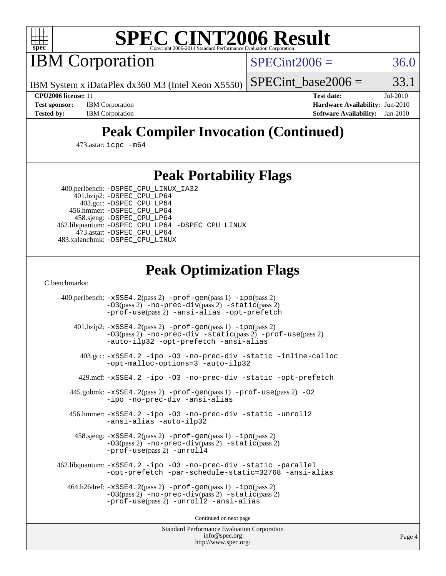

# **[SPEC CINT2006 Result](http://www.spec.org/auto/cpu2006/Docs/result-fields.html#SPECCINT2006Result)**

IBM Corporation

 $SPECint2006 = 36.0$  $SPECint2006 = 36.0$ 

IBM System x iDataPlex dx360 M3 (Intel Xeon X5550)

SPECint base2006 =  $33.1$ 

**[Test sponsor:](http://www.spec.org/auto/cpu2006/Docs/result-fields.html#Testsponsor)** IBM Corporation **[Hardware Availability:](http://www.spec.org/auto/cpu2006/Docs/result-fields.html#HardwareAvailability)** Jun-2010

**[CPU2006 license:](http://www.spec.org/auto/cpu2006/Docs/result-fields.html#CPU2006license)** 11 **[Test date:](http://www.spec.org/auto/cpu2006/Docs/result-fields.html#Testdate)** Jul-2010 **[Tested by:](http://www.spec.org/auto/cpu2006/Docs/result-fields.html#Testedby)** IBM Corporation **[Software Availability:](http://www.spec.org/auto/cpu2006/Docs/result-fields.html#SoftwareAvailability)** Jan-2010

## **[Peak Compiler Invocation \(Continued\)](http://www.spec.org/auto/cpu2006/Docs/result-fields.html#PeakCompilerInvocation)**

473.astar: [icpc -m64](http://www.spec.org/cpu2006/results/res2010q3/cpu2006-20100719-12493.flags.html#user_peakCXXLD473_astar_intel_icpc_64bit_fc66a5337ce925472a5c54ad6a0de310)

#### **[Peak Portability Flags](http://www.spec.org/auto/cpu2006/Docs/result-fields.html#PeakPortabilityFlags)**

 400.perlbench: [-DSPEC\\_CPU\\_LINUX\\_IA32](http://www.spec.org/cpu2006/results/res2010q3/cpu2006-20100719-12493.flags.html#b400.perlbench_peakCPORTABILITY_DSPEC_CPU_LINUX_IA32) 401.bzip2: [-DSPEC\\_CPU\\_LP64](http://www.spec.org/cpu2006/results/res2010q3/cpu2006-20100719-12493.flags.html#suite_peakPORTABILITY401_bzip2_DSPEC_CPU_LP64)

 403.gcc: [-DSPEC\\_CPU\\_LP64](http://www.spec.org/cpu2006/results/res2010q3/cpu2006-20100719-12493.flags.html#suite_peakPORTABILITY403_gcc_DSPEC_CPU_LP64) 456.hmmer: [-DSPEC\\_CPU\\_LP64](http://www.spec.org/cpu2006/results/res2010q3/cpu2006-20100719-12493.flags.html#suite_peakPORTABILITY456_hmmer_DSPEC_CPU_LP64) 458.sjeng: [-DSPEC\\_CPU\\_LP64](http://www.spec.org/cpu2006/results/res2010q3/cpu2006-20100719-12493.flags.html#suite_peakPORTABILITY458_sjeng_DSPEC_CPU_LP64) 462.libquantum: [-DSPEC\\_CPU\\_LP64](http://www.spec.org/cpu2006/results/res2010q3/cpu2006-20100719-12493.flags.html#suite_peakPORTABILITY462_libquantum_DSPEC_CPU_LP64) [-DSPEC\\_CPU\\_LINUX](http://www.spec.org/cpu2006/results/res2010q3/cpu2006-20100719-12493.flags.html#b462.libquantum_peakCPORTABILITY_DSPEC_CPU_LINUX) 473.astar: [-DSPEC\\_CPU\\_LP64](http://www.spec.org/cpu2006/results/res2010q3/cpu2006-20100719-12493.flags.html#suite_peakPORTABILITY473_astar_DSPEC_CPU_LP64) 483.xalancbmk: [-DSPEC\\_CPU\\_LINUX](http://www.spec.org/cpu2006/results/res2010q3/cpu2006-20100719-12493.flags.html#b483.xalancbmk_peakCXXPORTABILITY_DSPEC_CPU_LINUX)

#### **[Peak Optimization Flags](http://www.spec.org/auto/cpu2006/Docs/result-fields.html#PeakOptimizationFlags)**

[C benchmarks](http://www.spec.org/auto/cpu2006/Docs/result-fields.html#Cbenchmarks):

 400.perlbench: [-xSSE4.2](http://www.spec.org/cpu2006/results/res2010q3/cpu2006-20100719-12493.flags.html#user_peakPASS2_CFLAGSPASS2_LDCFLAGS400_perlbench_f-xSSE42_f91528193cf0b216347adb8b939d4107)(pass 2) [-prof-gen](http://www.spec.org/cpu2006/results/res2010q3/cpu2006-20100719-12493.flags.html#user_peakPASS1_CFLAGSPASS1_LDCFLAGS400_perlbench_prof_gen_e43856698f6ca7b7e442dfd80e94a8fc)(pass 1) [-ipo](http://www.spec.org/cpu2006/results/res2010q3/cpu2006-20100719-12493.flags.html#user_peakPASS2_CFLAGSPASS2_LDCFLAGS400_perlbench_f-ipo)(pass 2) [-O3](http://www.spec.org/cpu2006/results/res2010q3/cpu2006-20100719-12493.flags.html#user_peakPASS2_CFLAGSPASS2_LDCFLAGS400_perlbench_f-O3)(pass 2) [-no-prec-div](http://www.spec.org/cpu2006/results/res2010q3/cpu2006-20100719-12493.flags.html#user_peakPASS2_CFLAGSPASS2_LDCFLAGS400_perlbench_f-no-prec-div)(pass 2) [-static](http://www.spec.org/cpu2006/results/res2010q3/cpu2006-20100719-12493.flags.html#user_peakPASS2_CFLAGSPASS2_LDCFLAGS400_perlbench_f-static)(pass 2) [-prof-use](http://www.spec.org/cpu2006/results/res2010q3/cpu2006-20100719-12493.flags.html#user_peakPASS2_CFLAGSPASS2_LDCFLAGS400_perlbench_prof_use_bccf7792157ff70d64e32fe3e1250b55)(pass 2) [-ansi-alias](http://www.spec.org/cpu2006/results/res2010q3/cpu2006-20100719-12493.flags.html#user_peakCOPTIMIZE400_perlbench_f-ansi-alias) [-opt-prefetch](http://www.spec.org/cpu2006/results/res2010q3/cpu2006-20100719-12493.flags.html#user_peakCOPTIMIZE400_perlbench_f-opt-prefetch) 401.bzip2: [-xSSE4.2](http://www.spec.org/cpu2006/results/res2010q3/cpu2006-20100719-12493.flags.html#user_peakPASS2_CFLAGSPASS2_LDCFLAGS401_bzip2_f-xSSE42_f91528193cf0b216347adb8b939d4107)(pass 2) [-prof-gen](http://www.spec.org/cpu2006/results/res2010q3/cpu2006-20100719-12493.flags.html#user_peakPASS1_CFLAGSPASS1_LDCFLAGS401_bzip2_prof_gen_e43856698f6ca7b7e442dfd80e94a8fc)(pass 1) [-ipo](http://www.spec.org/cpu2006/results/res2010q3/cpu2006-20100719-12493.flags.html#user_peakPASS2_CFLAGSPASS2_LDCFLAGS401_bzip2_f-ipo)(pass 2) [-O3](http://www.spec.org/cpu2006/results/res2010q3/cpu2006-20100719-12493.flags.html#user_peakPASS2_CFLAGSPASS2_LDCFLAGS401_bzip2_f-O3)(pass 2) [-no-prec-div](http://www.spec.org/cpu2006/results/res2010q3/cpu2006-20100719-12493.flags.html#user_peakCOPTIMIZEPASS2_CFLAGSPASS2_LDCFLAGS401_bzip2_f-no-prec-div) [-static](http://www.spec.org/cpu2006/results/res2010q3/cpu2006-20100719-12493.flags.html#user_peakPASS2_CFLAGSPASS2_LDCFLAGS401_bzip2_f-static)(pass 2) [-prof-use](http://www.spec.org/cpu2006/results/res2010q3/cpu2006-20100719-12493.flags.html#user_peakPASS2_CFLAGSPASS2_LDCFLAGS401_bzip2_prof_use_bccf7792157ff70d64e32fe3e1250b55)(pass 2) [-auto-ilp32](http://www.spec.org/cpu2006/results/res2010q3/cpu2006-20100719-12493.flags.html#user_peakCOPTIMIZE401_bzip2_f-auto-ilp32) [-opt-prefetch](http://www.spec.org/cpu2006/results/res2010q3/cpu2006-20100719-12493.flags.html#user_peakCOPTIMIZE401_bzip2_f-opt-prefetch) [-ansi-alias](http://www.spec.org/cpu2006/results/res2010q3/cpu2006-20100719-12493.flags.html#user_peakCOPTIMIZE401_bzip2_f-ansi-alias) 403.gcc: [-xSSE4.2](http://www.spec.org/cpu2006/results/res2010q3/cpu2006-20100719-12493.flags.html#user_peakCOPTIMIZE403_gcc_f-xSSE42_f91528193cf0b216347adb8b939d4107) [-ipo](http://www.spec.org/cpu2006/results/res2010q3/cpu2006-20100719-12493.flags.html#user_peakCOPTIMIZE403_gcc_f-ipo) [-O3](http://www.spec.org/cpu2006/results/res2010q3/cpu2006-20100719-12493.flags.html#user_peakCOPTIMIZE403_gcc_f-O3) [-no-prec-div](http://www.spec.org/cpu2006/results/res2010q3/cpu2006-20100719-12493.flags.html#user_peakCOPTIMIZE403_gcc_f-no-prec-div) [-static](http://www.spec.org/cpu2006/results/res2010q3/cpu2006-20100719-12493.flags.html#user_peakCOPTIMIZE403_gcc_f-static) [-inline-calloc](http://www.spec.org/cpu2006/results/res2010q3/cpu2006-20100719-12493.flags.html#user_peakCOPTIMIZE403_gcc_f-inline-calloc) [-opt-malloc-options=3](http://www.spec.org/cpu2006/results/res2010q3/cpu2006-20100719-12493.flags.html#user_peakCOPTIMIZE403_gcc_f-opt-malloc-options_13ab9b803cf986b4ee62f0a5998c2238) [-auto-ilp32](http://www.spec.org/cpu2006/results/res2010q3/cpu2006-20100719-12493.flags.html#user_peakCOPTIMIZE403_gcc_f-auto-ilp32) 429.mcf: [-xSSE4.2](http://www.spec.org/cpu2006/results/res2010q3/cpu2006-20100719-12493.flags.html#user_peakCOPTIMIZE429_mcf_f-xSSE42_f91528193cf0b216347adb8b939d4107) [-ipo](http://www.spec.org/cpu2006/results/res2010q3/cpu2006-20100719-12493.flags.html#user_peakCOPTIMIZE429_mcf_f-ipo) [-O3](http://www.spec.org/cpu2006/results/res2010q3/cpu2006-20100719-12493.flags.html#user_peakCOPTIMIZE429_mcf_f-O3) [-no-prec-div](http://www.spec.org/cpu2006/results/res2010q3/cpu2006-20100719-12493.flags.html#user_peakCOPTIMIZE429_mcf_f-no-prec-div) [-static](http://www.spec.org/cpu2006/results/res2010q3/cpu2006-20100719-12493.flags.html#user_peakCOPTIMIZE429_mcf_f-static) [-opt-prefetch](http://www.spec.org/cpu2006/results/res2010q3/cpu2006-20100719-12493.flags.html#user_peakCOPTIMIZE429_mcf_f-opt-prefetch) 445.gobmk: [-xSSE4.2](http://www.spec.org/cpu2006/results/res2010q3/cpu2006-20100719-12493.flags.html#user_peakPASS2_CFLAGSPASS2_LDCFLAGS445_gobmk_f-xSSE42_f91528193cf0b216347adb8b939d4107)(pass 2) [-prof-gen](http://www.spec.org/cpu2006/results/res2010q3/cpu2006-20100719-12493.flags.html#user_peakPASS1_CFLAGSPASS1_LDCFLAGS445_gobmk_prof_gen_e43856698f6ca7b7e442dfd80e94a8fc)(pass 1) [-prof-use](http://www.spec.org/cpu2006/results/res2010q3/cpu2006-20100719-12493.flags.html#user_peakPASS2_CFLAGSPASS2_LDCFLAGS445_gobmk_prof_use_bccf7792157ff70d64e32fe3e1250b55)(pass 2) [-O2](http://www.spec.org/cpu2006/results/res2010q3/cpu2006-20100719-12493.flags.html#user_peakCOPTIMIZE445_gobmk_f-O2) [-ipo](http://www.spec.org/cpu2006/results/res2010q3/cpu2006-20100719-12493.flags.html#user_peakCOPTIMIZE445_gobmk_f-ipo) [-no-prec-div](http://www.spec.org/cpu2006/results/res2010q3/cpu2006-20100719-12493.flags.html#user_peakCOPTIMIZE445_gobmk_f-no-prec-div) [-ansi-alias](http://www.spec.org/cpu2006/results/res2010q3/cpu2006-20100719-12493.flags.html#user_peakCOPTIMIZE445_gobmk_f-ansi-alias) 456.hmmer: [-xSSE4.2](http://www.spec.org/cpu2006/results/res2010q3/cpu2006-20100719-12493.flags.html#user_peakCOPTIMIZE456_hmmer_f-xSSE42_f91528193cf0b216347adb8b939d4107) [-ipo](http://www.spec.org/cpu2006/results/res2010q3/cpu2006-20100719-12493.flags.html#user_peakCOPTIMIZE456_hmmer_f-ipo) [-O3](http://www.spec.org/cpu2006/results/res2010q3/cpu2006-20100719-12493.flags.html#user_peakCOPTIMIZE456_hmmer_f-O3) [-no-prec-div](http://www.spec.org/cpu2006/results/res2010q3/cpu2006-20100719-12493.flags.html#user_peakCOPTIMIZE456_hmmer_f-no-prec-div) [-static](http://www.spec.org/cpu2006/results/res2010q3/cpu2006-20100719-12493.flags.html#user_peakCOPTIMIZE456_hmmer_f-static) [-unroll2](http://www.spec.org/cpu2006/results/res2010q3/cpu2006-20100719-12493.flags.html#user_peakCOPTIMIZE456_hmmer_f-unroll_784dae83bebfb236979b41d2422d7ec2) [-ansi-alias](http://www.spec.org/cpu2006/results/res2010q3/cpu2006-20100719-12493.flags.html#user_peakCOPTIMIZE456_hmmer_f-ansi-alias) [-auto-ilp32](http://www.spec.org/cpu2006/results/res2010q3/cpu2006-20100719-12493.flags.html#user_peakCOPTIMIZE456_hmmer_f-auto-ilp32) 458.sjeng: [-xSSE4.2](http://www.spec.org/cpu2006/results/res2010q3/cpu2006-20100719-12493.flags.html#user_peakPASS2_CFLAGSPASS2_LDCFLAGS458_sjeng_f-xSSE42_f91528193cf0b216347adb8b939d4107)(pass 2) [-prof-gen](http://www.spec.org/cpu2006/results/res2010q3/cpu2006-20100719-12493.flags.html#user_peakPASS1_CFLAGSPASS1_LDCFLAGS458_sjeng_prof_gen_e43856698f6ca7b7e442dfd80e94a8fc)(pass 1) [-ipo](http://www.spec.org/cpu2006/results/res2010q3/cpu2006-20100719-12493.flags.html#user_peakPASS2_CFLAGSPASS2_LDCFLAGS458_sjeng_f-ipo)(pass 2) [-O3](http://www.spec.org/cpu2006/results/res2010q3/cpu2006-20100719-12493.flags.html#user_peakPASS2_CFLAGSPASS2_LDCFLAGS458_sjeng_f-O3)(pass 2) [-no-prec-div](http://www.spec.org/cpu2006/results/res2010q3/cpu2006-20100719-12493.flags.html#user_peakPASS2_CFLAGSPASS2_LDCFLAGS458_sjeng_f-no-prec-div)(pass 2) [-static](http://www.spec.org/cpu2006/results/res2010q3/cpu2006-20100719-12493.flags.html#user_peakPASS2_CFLAGSPASS2_LDCFLAGS458_sjeng_f-static)(pass 2) [-prof-use](http://www.spec.org/cpu2006/results/res2010q3/cpu2006-20100719-12493.flags.html#user_peakPASS2_CFLAGSPASS2_LDCFLAGS458_sjeng_prof_use_bccf7792157ff70d64e32fe3e1250b55)(pass 2) [-unroll4](http://www.spec.org/cpu2006/results/res2010q3/cpu2006-20100719-12493.flags.html#user_peakCOPTIMIZE458_sjeng_f-unroll_4e5e4ed65b7fd20bdcd365bec371b81f) 462.libquantum: [-xSSE4.2](http://www.spec.org/cpu2006/results/res2010q3/cpu2006-20100719-12493.flags.html#user_peakCOPTIMIZE462_libquantum_f-xSSE42_f91528193cf0b216347adb8b939d4107) [-ipo](http://www.spec.org/cpu2006/results/res2010q3/cpu2006-20100719-12493.flags.html#user_peakCOPTIMIZE462_libquantum_f-ipo) [-O3](http://www.spec.org/cpu2006/results/res2010q3/cpu2006-20100719-12493.flags.html#user_peakCOPTIMIZE462_libquantum_f-O3) [-no-prec-div](http://www.spec.org/cpu2006/results/res2010q3/cpu2006-20100719-12493.flags.html#user_peakCOPTIMIZE462_libquantum_f-no-prec-div) [-static](http://www.spec.org/cpu2006/results/res2010q3/cpu2006-20100719-12493.flags.html#user_peakCOPTIMIZE462_libquantum_f-static) [-parallel](http://www.spec.org/cpu2006/results/res2010q3/cpu2006-20100719-12493.flags.html#user_peakCOPTIMIZE462_libquantum_f-parallel) [-opt-prefetch](http://www.spec.org/cpu2006/results/res2010q3/cpu2006-20100719-12493.flags.html#user_peakCOPTIMIZE462_libquantum_f-opt-prefetch) [-par-schedule-static=32768](http://www.spec.org/cpu2006/results/res2010q3/cpu2006-20100719-12493.flags.html#user_peakCOPTIMIZE462_libquantum_f-par-schedule_9386bcd99ba64e99ee01d1aafefddd14) [-ansi-alias](http://www.spec.org/cpu2006/results/res2010q3/cpu2006-20100719-12493.flags.html#user_peakCOPTIMIZE462_libquantum_f-ansi-alias) 464.h264ref: [-xSSE4.2](http://www.spec.org/cpu2006/results/res2010q3/cpu2006-20100719-12493.flags.html#user_peakPASS2_CFLAGSPASS2_LDCFLAGS464_h264ref_f-xSSE42_f91528193cf0b216347adb8b939d4107)(pass 2) [-prof-gen](http://www.spec.org/cpu2006/results/res2010q3/cpu2006-20100719-12493.flags.html#user_peakPASS1_CFLAGSPASS1_LDCFLAGS464_h264ref_prof_gen_e43856698f6ca7b7e442dfd80e94a8fc)(pass 1) [-ipo](http://www.spec.org/cpu2006/results/res2010q3/cpu2006-20100719-12493.flags.html#user_peakPASS2_CFLAGSPASS2_LDCFLAGS464_h264ref_f-ipo)(pass 2) [-O3](http://www.spec.org/cpu2006/results/res2010q3/cpu2006-20100719-12493.flags.html#user_peakPASS2_CFLAGSPASS2_LDCFLAGS464_h264ref_f-O3)(pass 2) [-no-prec-div](http://www.spec.org/cpu2006/results/res2010q3/cpu2006-20100719-12493.flags.html#user_peakPASS2_CFLAGSPASS2_LDCFLAGS464_h264ref_f-no-prec-div)(pass 2) [-static](http://www.spec.org/cpu2006/results/res2010q3/cpu2006-20100719-12493.flags.html#user_peakPASS2_CFLAGSPASS2_LDCFLAGS464_h264ref_f-static)(pass 2) [-prof-use](http://www.spec.org/cpu2006/results/res2010q3/cpu2006-20100719-12493.flags.html#user_peakPASS2_CFLAGSPASS2_LDCFLAGS464_h264ref_prof_use_bccf7792157ff70d64e32fe3e1250b55)(pass 2) [-unroll2](http://www.spec.org/cpu2006/results/res2010q3/cpu2006-20100719-12493.flags.html#user_peakCOPTIMIZE464_h264ref_f-unroll_784dae83bebfb236979b41d2422d7ec2) [-ansi-alias](http://www.spec.org/cpu2006/results/res2010q3/cpu2006-20100719-12493.flags.html#user_peakCOPTIMIZE464_h264ref_f-ansi-alias)

Continued on next page

Standard Performance Evaluation Corporation [info@spec.org](mailto:info@spec.org) <http://www.spec.org/>